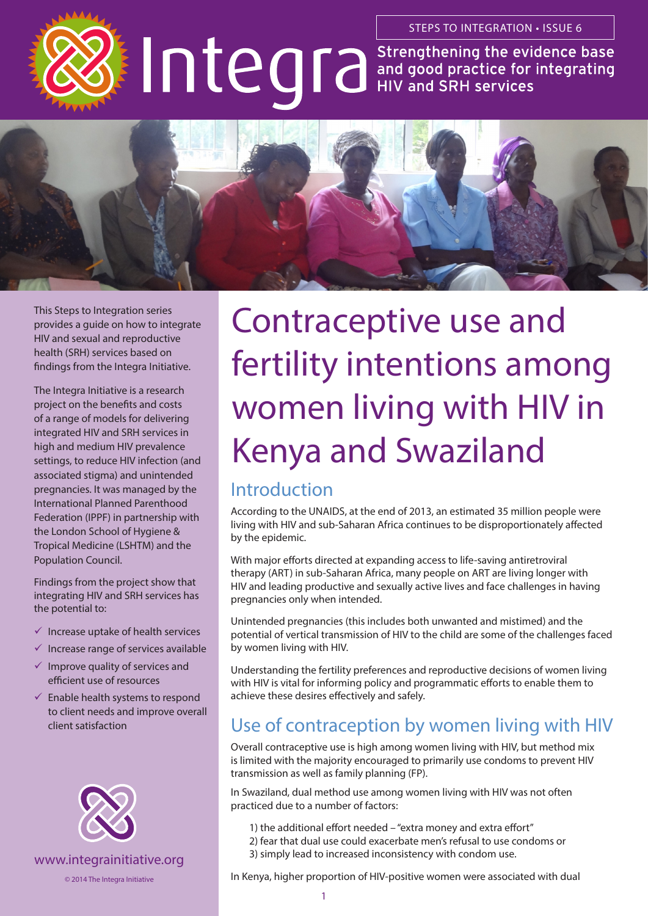



This Steps to Integration series provides a guide on how to integrate HIV and sexual and reproductive health (SRH) services based on findings from the Integra Initiative.

The Integra Initiative is a research project on the benefits and costs of a range of models for delivering integrated HIV and SRH services in high and medium HIV prevalence settings, to reduce HIV infection (and associated stigma) and unintended pregnancies. It was managed by the International Planned Parenthood Federation (IPPF) in partnership with the London School of Hygiene & Tropical Medicine (LSHTM) and the Population Council.

Findings from the project show that integrating HIV and SRH services has the potential to:

- $\checkmark$  Increase uptake of health services
- $\checkmark$  Increase range of services available
- $\checkmark$  Improve quality of services and efficient use of resources
- $\checkmark$  Enable health systems to respond to client needs and improve overall client satisfaction



Contraceptive use and fertility intentions among women living with HIV in Kenya and Swaziland

# Introduction

According to the UNAIDS, at the end of 2013, an estimated 35 million people were living with HIV and sub-Saharan Africa continues to be disproportionately affected by the epidemic.

With major efforts directed at expanding access to life-saving antiretroviral therapy (ART) in sub-Saharan Africa, many people on ART are living longer with HIV and leading productive and sexually active lives and face challenges in having pregnancies only when intended.

Unintended pregnancies (this includes both unwanted and mistimed) and the potential of vertical transmission of HIV to the child are some of the challenges faced by women living with HIV.

Understanding the fertility preferences and reproductive decisions of women living with HIV is vital for informing policy and programmatic efforts to enable them to achieve these desires effectively and safely.

# Use of contraception by women living with HIV

Overall contraceptive use is high among women living with HIV, but method mix is limited with the majority encouraged to primarily use condoms to prevent HIV transmission as well as family planning (FP).

In Swaziland, dual method use among women living with HIV was not often practiced due to a number of factors:

- 1) the additional effort needed "extra money and extra effort"
- 2) fear that dual use could exacerbate men's refusal to use condoms or
- 3) simply lead to increased inconsistency with condom use.

In Kenya, higher proportion of HIV-positive women were associated with dual